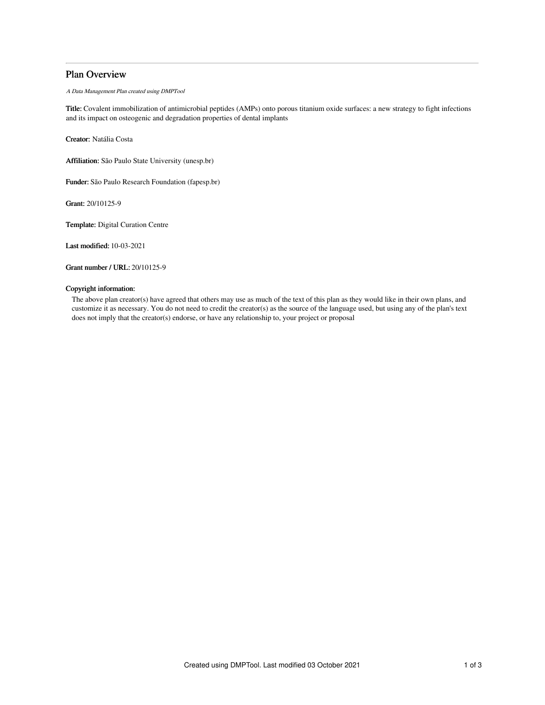# Plan Overview

A Data Management Plan created using DMPTool

Title: Covalent immobilization of antimicrobial peptides (AMPs) onto porous titanium oxide surfaces: a new strategy to fight infections and its impact on osteogenic and degradation properties of dental implants

Creator: Natália Costa

Affiliation: São Paulo State University (unesp.br)

Funder: São Paulo Research Foundation (fapesp.br)

Grant: 20/10125-9

Template: Digital Curation Centre

Last modified: 10-03-2021

Grant number / URL: 20/10125-9

### Copyright information:

The above plan creator(s) have agreed that others may use as much of the text of this plan as they would like in their own plans, and customize it as necessary. You do not need to credit the creator(s) as the source of the language used, but using any of the plan's text does not imply that the creator(s) endorse, or have any relationship to, your project or proposal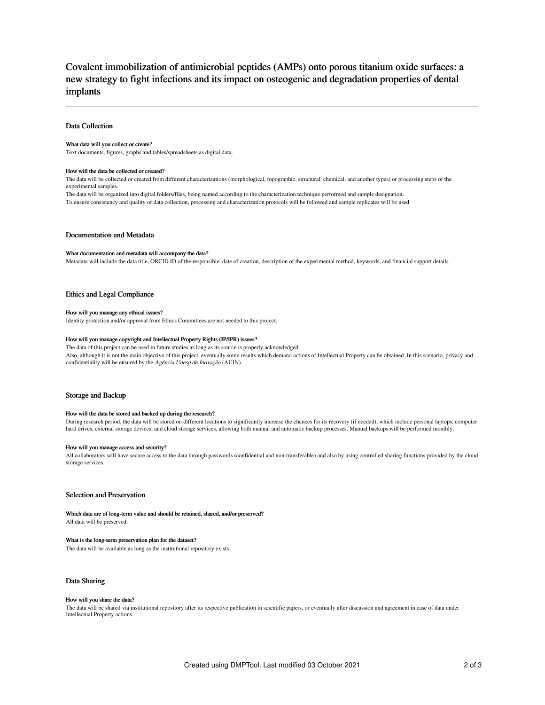# Covalent immobilization of antimicrobial peptides (AMPs) onto porous titanium oxide surfaces: a new strategy to fight infections and its impact on osteogenic and degradation properties of dental implants

### Data Collection

#### What data will you collect or create?

Text documents, figures, graphs and tables/spreadsheets as digital data.

#### How will the data be collected or created?

The data will be collected or created from different characterizations (morphological, topographic, structural, chemical, and another types) or processing steps of the experimental samples.

The data will be organized into digital folders/files, being named according to the characterization technique performed and sample designation. To ensure consistency and quality of data collection, processing and characterization protocols will be followed and sample replicates will be used.

### Documentation and Metadata

### What documentation and metadata will accompany the data?

Metadata will include the data title, ORCID ID of the responsible, date of creation, description of the experimental method, keywords, and financial support details.

### Ethics and Legal Compliance

#### How will you manage any ethical issues?

Identity protection and/or approval from Ethics Committees are not needed to this project.

#### How will you manage copyright and Intellectual Property Rights (IP/IPR) issues?

The data of this project can be used in future studies as long as its source is properly acknowledged. Also, although it is not the main objective of this project, eventually some results which demand actions of Intellectual Property can be obtained. In this scenario, privacy and confidentiality will be ensured by the Agência Unesp de Inovação (AUIN).

### Storage and Backup

#### How will the data be stored and backed up during the research?

During research period, the data will be stored on different locations to significantly increase the chances for its recovery (if needed), which include personal laptops, computer hard drives, external storage devices, and cloud storage services, allowing both manual and automatic backup processes. Manual backups will be performed monthly.

#### How will you manage access and security?

All collaborators will have secure access to the data through passwords (confidential and non-transferable) and also by using controlled sharing functions provided by the cloud storage services.

### Selection and Preservation

Which data are of long-term value and should be retained, shared, and/or preserved? All data will be preserved.

#### What is the long-term preservation plan for the dataset?

The data will be available as long as the institutional repository exists.

### Data Sharing

#### How will you share the data?

The data will be shared via institutional repository after its respective publication in scientific papers, or eventually after discussion and agreement in case of data under Intellectual Property actions.